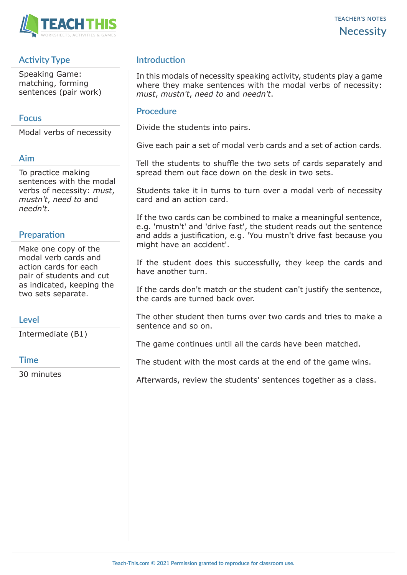

## **Activity Type**

Speaking Game: matching, forming sentences (pair work)

## **Focus**

Modal verbs of necessity

#### **Aim**

To practice making sentences with the modal verbs of necessity: *must*, *mustn't*, *need to* and *needn't*.

## **Preparation**

Make one copy of the modal verb cards and action cards for each pair of students and cut as indicated, keeping the two sets separate.

## **Level**

Intermediate (B1)

#### **Time**

30 minutes

## **Introduction**

In this modals of necessity speaking activity, students play a game where they make sentences with the modal verbs of necessity: *must*, *mustn't*, *need to* and *needn't*.

#### **Procedure**

Divide the students into pairs.

Give each pair a set of modal verb cards and a set of action cards.

Tell the students to shuffle the two sets of cards separately and spread them out face down on the desk in two sets.

Students take it in turns to turn over a modal verb of necessity card and an action card.

If the two cards can be combined to make a meaningful sentence, e.g. 'mustn't' and 'drive fast', the student reads out the sentence and adds a justification, e.g. 'You mustn't drive fast because you might have an accident'.

If the student does this successfully, they keep the cards and have another turn.

If the cards don't match or the student can't justify the sentence, the cards are turned back over.

The other student then turns over two cards and tries to make a sentence and so on.

The game continues until all the cards have been matched.

The student with the most cards at the end of the game wins.

Afterwards, review the students' sentences together as a class.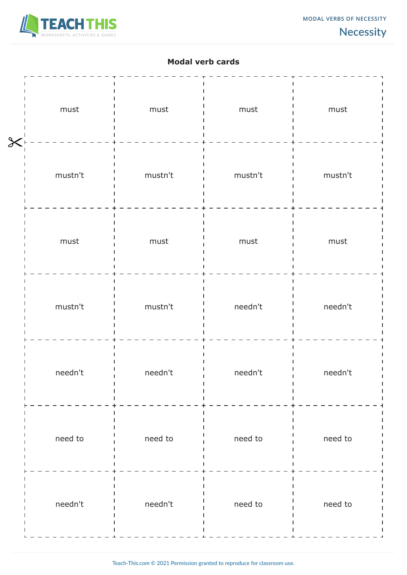

# **Modal verb cards**

| $\overline{\mathsf{X}}$ | ${\sf must}$ | must    | ${\sf must}$ | must         |
|-------------------------|--------------|---------|--------------|--------------|
|                         | mustn't      | mustn't | mustn't      | mustn't      |
|                         | ${\sf must}$ | must    | must         | ${\sf must}$ |
|                         | mustn't      | mustn't | needn't      | needn't      |
|                         | needn't      | needn't | needn't      | needn't      |
|                         | need to      | need to | need to      | need to      |
|                         | needn't      | needn't | need to      | need to      |